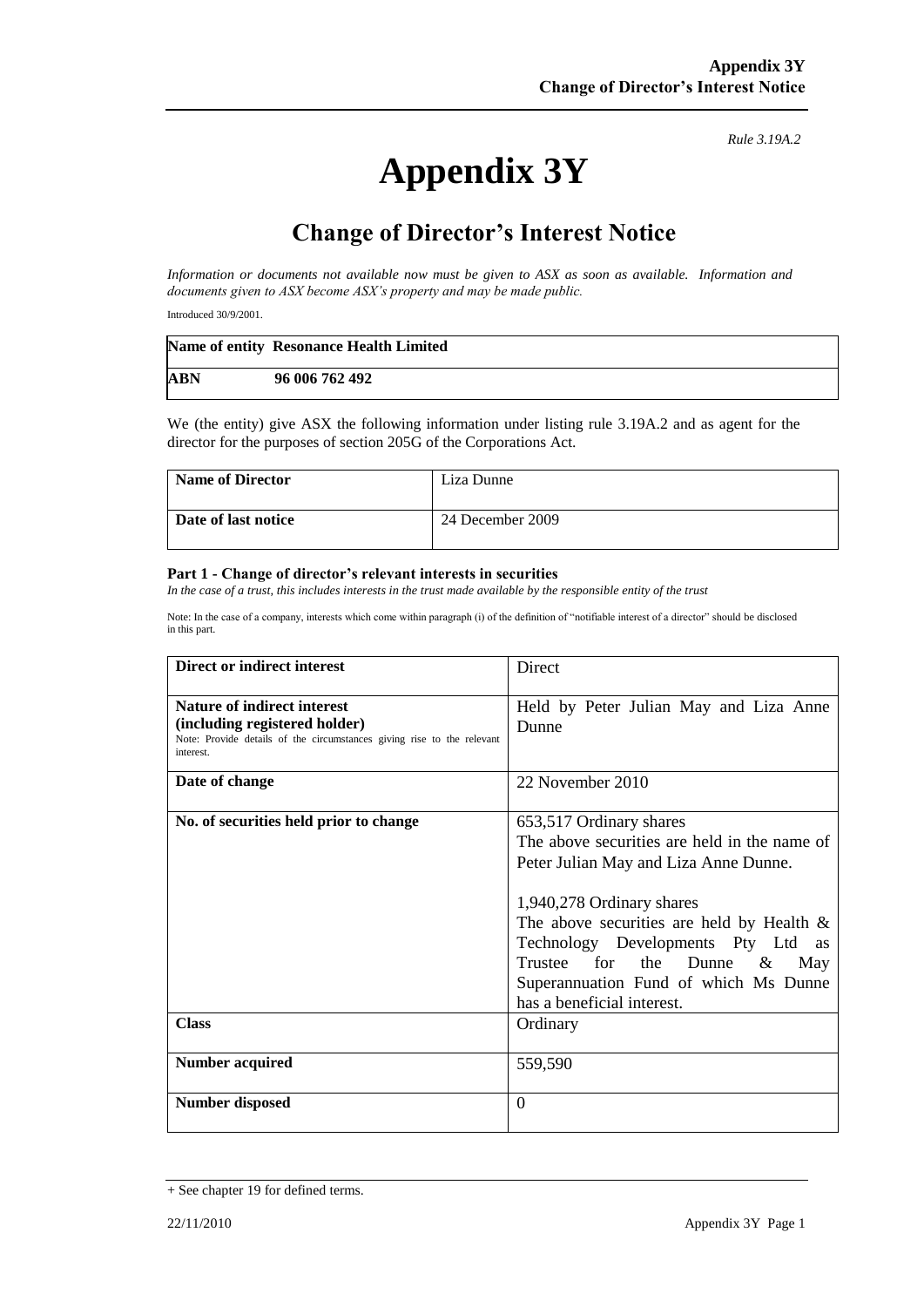## **Appendix 3Y**

*Rule 3.19A.2*

## **Change of Director's Interest Notice**

*Information or documents not available now must be given to ASX as soon as available. Information and documents given to ASX become ASX's property and may be made public.*

Introduced 30/9/2001.

|            | Name of entity Resonance Health Limited |
|------------|-----------------------------------------|
| <b>ABN</b> | 96 006 762 492                          |

We (the entity) give ASX the following information under listing rule 3.19A.2 and as agent for the director for the purposes of section 205G of the Corporations Act.

| Name of Director    | Liza Dunne       |
|---------------------|------------------|
| Date of last notice | 24 December 2009 |

## **Part 1 - Change of director's relevant interests in securities**

*In the case of a trust, this includes interests in the trust made available by the responsible entity of the trust*

Note: In the case of a company, interests which come within paragraph (i) of the definition of "notifiable interest of a director" should be disclosed in this part.

| Direct or indirect interest                                                                                                                         | Direct                                                                                                                                                                                                                                                                                                                                          |
|-----------------------------------------------------------------------------------------------------------------------------------------------------|-------------------------------------------------------------------------------------------------------------------------------------------------------------------------------------------------------------------------------------------------------------------------------------------------------------------------------------------------|
| Nature of indirect interest<br>(including registered holder)<br>Note: Provide details of the circumstances giving rise to the relevant<br>interest. | Held by Peter Julian May and Liza Anne<br>Dunne                                                                                                                                                                                                                                                                                                 |
| Date of change                                                                                                                                      | 22 November 2010                                                                                                                                                                                                                                                                                                                                |
| No. of securities held prior to change                                                                                                              | 653,517 Ordinary shares<br>The above securities are held in the name of<br>Peter Julian May and Liza Anne Dunne.<br>1,940,278 Ordinary shares<br>The above securities are held by Health $\&$<br>Technology Developments Pty Ltd as<br>Trustee for the Dunne $\&$<br>May<br>Superannuation Fund of which Ms Dunne<br>has a beneficial interest. |
| <b>Class</b>                                                                                                                                        | Ordinary                                                                                                                                                                                                                                                                                                                                        |
| <b>Number acquired</b>                                                                                                                              | 559,590                                                                                                                                                                                                                                                                                                                                         |
| <b>Number disposed</b>                                                                                                                              | $\Omega$                                                                                                                                                                                                                                                                                                                                        |

<sup>+</sup> See chapter 19 for defined terms.